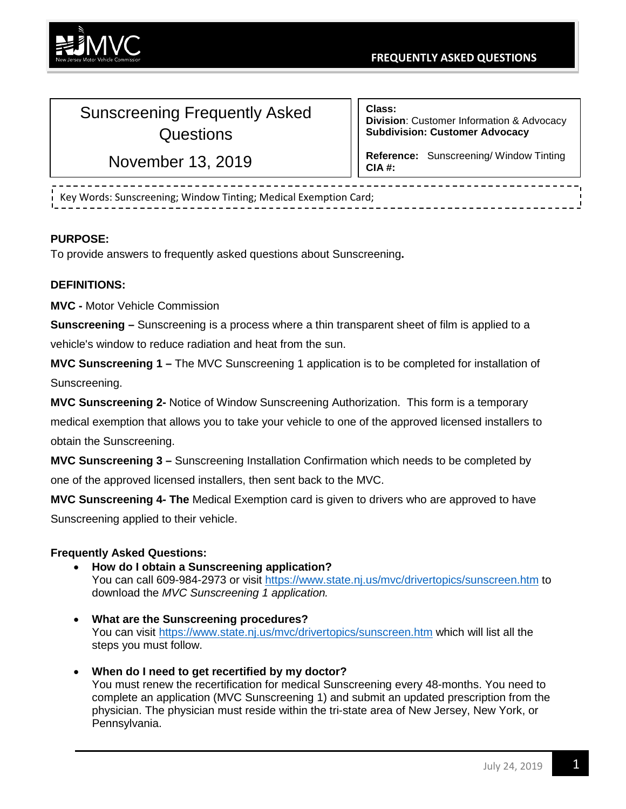

## Sunscreening Frequently Asked **Questions**

November 13, 2019

**Class: Division**: Customer Information & Advocacy **Subdivision: Customer Advocacy**

**Reference:** Sunscreening/ Window Tinting **CIA #:**

Key Words: Sunscreening; Window Tinting; Medical Exemption Card;

## **PURPOSE:**

To provide answers to frequently asked questions about Sunscreening**.**

## **DEFINITIONS:**

**MVC -** Motor Vehicle Commission

**Sunscreening –** Sunscreening is a process where a thin transparent sheet of film is applied to a vehicle's window to reduce radiation and heat from the sun.

**MVC Sunscreening 1 –** The MVC Sunscreening 1 application is to be completed for installation of Sunscreening.

**MVC Sunscreening 2-** Notice of Window Sunscreening Authorization. This form is a temporary medical exemption that allows you to take your vehicle to one of the approved licensed installers to obtain the Sunscreening.

**MVC Sunscreening 3 –** Sunscreening Installation Confirmation which needs to be completed by one of the approved licensed installers, then sent back to the MVC.

**MVC Sunscreening 4- The** Medical Exemption card is given to drivers who are approved to have Sunscreening applied to their vehicle.

## **Frequently Asked Questions:**

- **How do I obtain a Sunscreening application?** You can call 609-984-2973 or visit<https://www.state.nj.us/mvc/drivertopics/sunscreen.htm> to download the *MVC Sunscreening 1 application.*
- **What are the Sunscreening procedures?** You can visit<https://www.state.nj.us/mvc/drivertopics/sunscreen.htm> which will list all the steps you must follow.
- **When do I need to get recertified by my doctor?** You must renew the recertification for medical Sunscreening every 48-months. You need to complete an application (MVC Sunscreening 1) and submit an updated prescription from the physician. The physician must reside within the tri-state area of New Jersey, New York, or Pennsylvania.